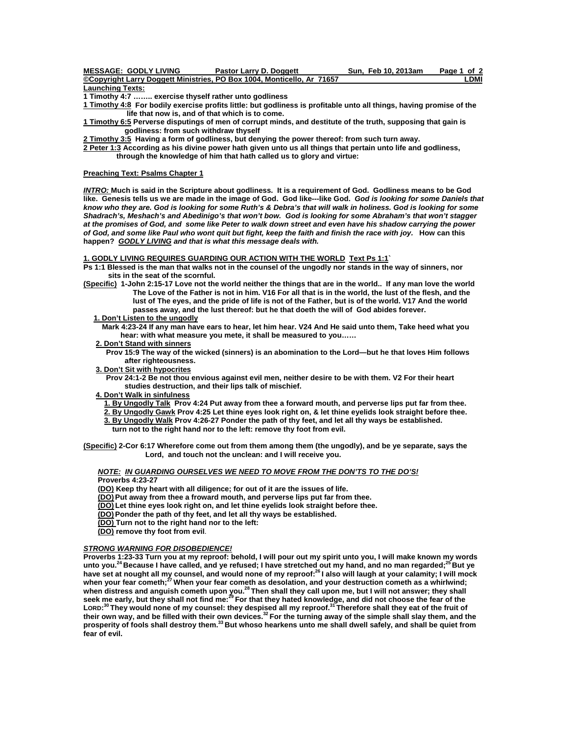| <b>MESSAGE: GODLY LIVING</b> | <b>Pastor Larry D. Doggett</b>                                         | Sun. Feb 10, 2013am | Page 1 of 2 |
|------------------------------|------------------------------------------------------------------------|---------------------|-------------|
|                              | ©Copyright Larry Doggett Ministries, PO Box 1004, Monticello, Ar 71657 |                     | _DMI        |
|                              |                                                                        |                     |             |

**Launching Texts:**

**1 Timothy 4:7 …….. exercise thyself rather unto godliness** 

- **[1 Timothy 4:8](http://bibleresources.bible.com/passagesearchresults.php?passage1=1%20Timothy+4:8&version=9) For bodily exercise profits little: but godliness is profitable unto all things, having promise of the life that now is, and of that which is to come.**
- **[1 Timothy 6:5](http://bibleresources.bible.com/passagesearchresults.php?passage1=1%20Timothy+6:5&version=9) Perverse disputings of men of corrupt minds, and destitute of the truth, supposing that gain is godliness: from such withdraw thyself**

**[2 Timothy 3:5](http://bibleresources.bible.com/passagesearchresults.php?passage1=2%20Timothy+3:5&version=9) Having a form of godliness, but denying the power thereof: from such turn away.** 

**[2 Peter 1:3](http://bibleresources.bible.com/passagesearchresults.php?passage1=2%20Peter+1:3&version=9) According as his divine power hath given unto us all things that pertain unto life and godliness, through the knowledge of him that hath called us to glory and virtue:** 

### **Preaching Text: Psalms Chapter 1**

*INTRO:* **Much is said in the Scripture about godliness. It is a requirement of God. Godliness means to be God like. Genesis tells us we are made in the image of God. God like---like God.** *God is looking for some Daniels that know who they are. God is looking for some Ruth's & Debra's that will walk in holiness. God is looking for some Shadrach's, Meshach's and Abedinigo's that won't bow. God is looking for some Abraham's that won't stagger at the promises of God, and some like Peter to walk down street and even have his shadow carrying the power of God, and some like Paul who wont quit but fight, keep the faith and finish the race with joy.* **How can this happen?** *GODLY LIVING and that is what this message deals with.*

### **1. GODLY LIVING REQUIRES GUARDING OUR ACTION WITH THE WORLD Text Ps 1:1`**

- **Ps 1:1 Blessed is the man that walks not in the counsel of the ungodly nor stands in the way of sinners, nor sits in the seat of the scornful.**
- **(Specific) 1-John 2:15-17 Love not the world neither the things that are in the world.. If any man love the world The Love of the Father is not in him. V16 For all that is in the world, the lust of the flesh, and the lust of The eyes, and the pride of life is not of the Father, but is of the world. V17 And the world passes away, and the lust thereof: but he that doeth the will of God abides forever.** 
	- **1. Don't Listen to the ungodly**

 **Mark 4:23-24 If any man have ears to hear, let him hear. V24 And He said unto them, Take heed what you hear: with what measure you mete, it shall be measured to you……** 

- **2. Don't Stand with sinners**
	- **Prov 15:9 The way of the wicked (sinners) is an abomination to the Lord—but he that loves Him follows after righteousness.**
- **3. Don't Sit with hypocrites**
- **Prov 24:1-2 Be not thou envious against evil men, neither desire to be with them. V2 For their heart studies destruction, and their lips talk of mischief.**
- **4. Don't Walk in sinfulness**

 **1. By Ungodly Talk Prov 4:24 Put away from thee a forward mouth, and perverse lips put far from thee.** 

 **2. By Ungodly Gawk Prov 4:25 Let thine eyes look right on, & let thine eyelids look straight before thee. 3. By Ungodly Walk Prov 4:26-27 Ponder the path of thy feet, and let all thy ways be established.** 

 **turn not to the right hand nor to the left: remove thy foot from evil.** 

**(Specific) 2-Cor 6:17 Wherefore come out from them among them (the ungodly), and be ye separate, says the Lord, and touch not the unclean: and I will receive you.** 

# *NOTE: IN GUARDING OURSELVES WE NEED TO MOVE FROM THE DON'TS TO THE DO'S!*

**Proverbs 4:23-27** 

 **(DO) Keep thy heart with all diligence; for out of it are the issues of life.** 

 **(DO) Put away from thee a froward mouth, and perverse lips put far from thee.** 

 **(DO) Let thine eyes look right on, and let thine eyelids look straight before thee.** 

- **(DO) Ponder the path of thy feet, and let all thy ways be established.**
- **(DO) Turn not to the right hand nor to the left:**
- **(DO) remove thy foot from evil**.

# *STRONG WARNING FOR DISOBEDIENCE!*

**Proverbs 1:23-33 Turn you at my reproof: behold, I will pour out my spirit unto you, I will make known my words unto you.24 Because I have called, and ye refused; I have stretched out my hand, and no man regarded;25 But ye have set at nought all my counsel, and would none of my reproof:26 I also will laugh at your calamity; I will mock when your fear cometh;27 When your fear cometh as desolation, and your destruction cometh as a whirlwind; when distress and anguish cometh upon you.28 Then shall they call upon me, but I will not answer; they shall seek me early, but they shall not find me:29 For that they hated knowledge, and did not choose the fear of the LORD: 30 They would none of my counsel: they despised all my reproof.31 Therefore shall they eat of the fruit of their own way, and be filled with their own devices.32 For the turning away of the simple shall slay them, and the prosperity of fools shall destroy them.33 But whoso hearkens unto me shall dwell safely, and shall be quiet from fear of evil.**